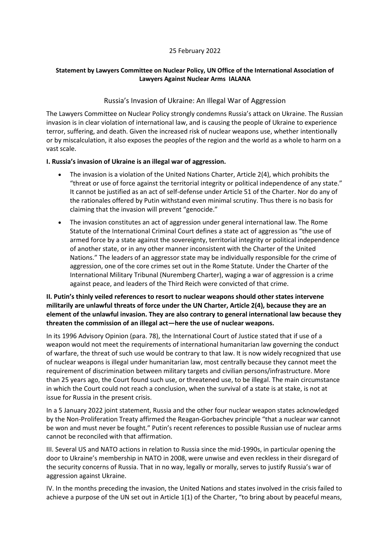#### 25 February 2022

## **Statement by Lawyers Committee on Nuclear Policy, UN Office of the International Association of Lawyers Against Nuclear Arms IALANA**

## Russia's Invasion of Ukraine: An Illegal War of Aggression

The Lawyers Committee on Nuclear Policy strongly condemns Russia's attack on Ukraine. The Russian invasion is in clear violation of international law, and is causing the people of Ukraine to experience terror, suffering, and death. Given the increased risk of nuclear weapons use, whether intentionally or by miscalculation, it also exposes the peoples of the region and the world as a whole to harm on a vast scale.

#### **I. Russia's invasion of Ukraine is an illegal war of aggression.**

- The invasion is a violation of the United Nations Charter, Article 2(4), which prohibits the "threat or use of force against the territorial integrity or political independence of any state." It cannot be justified as an act of self-defense under Article 51 of the Charter. Nor do any of the rationales offered by Putin withstand even minimal scrutiny. Thus there is no basis for claiming that the invasion will prevent "genocide."
- The invasion constitutes an act of aggression under general international law. The Rome Statute of the International Criminal Court defines a state act of aggression as "the use of armed force by a state against the sovereignty, territorial integrity or political independence of another state, or in any other manner inconsistent with the Charter of the United Nations." The leaders of an aggressor state may be individually responsible for the crime of aggression, one of the core crimes set out in the Rome Statute. Under the Charter of the International Military Tribunal (Nuremberg Charter), waging a war of aggression is a crime against peace, and leaders of the Third Reich were convicted of that crime.

# **II. Putin's thinly veiled references to resort to nuclear weapons should other states intervene militarily are unlawful threats of force under the UN Charter, Article 2(4), because they are an element of the unlawful invasion. They are also contrary to general international law because they threaten the commission of an illegal act—here the use of nuclear weapons.**

In its 1996 Advisory Opinion (para. 78), the International Court of Justice stated that if use of a weapon would not meet the requirements of international humanitarian law governing the conduct of warfare, the threat of such use would be contrary to that law. It is now widely recognized that use of nuclear weapons is illegal under humanitarian law, most centrally because they cannot meet the requirement of discrimination between military targets and civilian persons/infrastructure. More than 25 years ago, the Court found such use, or threatened use, to be illegal. The main circumstance in which the Court could not reach a conclusion, when the survival of a state is at stake, is not at issue for Russia in the present crisis.

In a 5 January 2022 joint statement, Russia and the other four nuclear weapon states acknowledged by the Non-Proliferation Treaty affirmed the Reagan-Gorbachev principle "that a nuclear war cannot be won and must never be fought." Putin's recent references to possible Russian use of nuclear arms cannot be reconciled with that affirmation.

III. Several US and NATO actions in relation to Russia since the mid-1990s, in particular opening the door to Ukraine's membership in NATO in 2008, were unwise and even reckless in their disregard of the security concerns of Russia. That in no way, legally or morally, serves to justify Russia's war of aggression against Ukraine.

IV. In the months preceding the invasion, the United Nations and states involved in the crisis failed to achieve a purpose of the UN set out in Article 1(1) of the Charter, "to bring about by peaceful means,